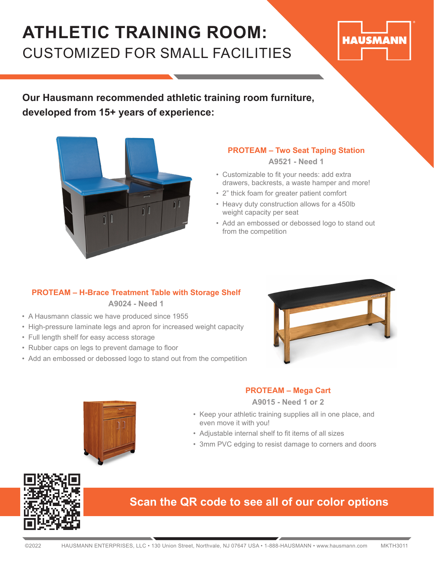## **ATHLETIC TRAINING ROOM:**  CUSTOMIZED FOR SMALL FACILITIES

# **HAUSMANN**

**Our Hausmann recommended athletic training room furniture, developed from 15+ years of experience:**



### **PROTEAM – Two Seat Taping Station**

**A9521 - Need 1**

- Customizable to fit your needs: add extra drawers, backrests, a waste hamper and more!
- 2" thick foam for greater patient comfort
- Heavy duty construction allows for a 450lb weight capacity per seat
- Add an embossed or debossed logo to stand out from the competition

## **PROTEAM – H-Brace Treatment Table with Storage Shelf**

**A9024 - Need 1**

- A Hausmann classic we have produced since 1955
- High-pressure laminate legs and apron for increased weight capacity
- Full length shelf for easy access storage
- Rubber caps on legs to prevent damage to floor
- Add an embossed or debossed logo to stand out from the competition





### **PROTEAM – Mega Cart**

**A9015 - Need 1 or 2**

- Keep your athletic training supplies all in one place, and even move it with you!
- Adjustable internal shelf to fit items of all sizes
- 3mm PVC edging to resist damage to corners and doors



## **Scan the QR code to see all of our color options**